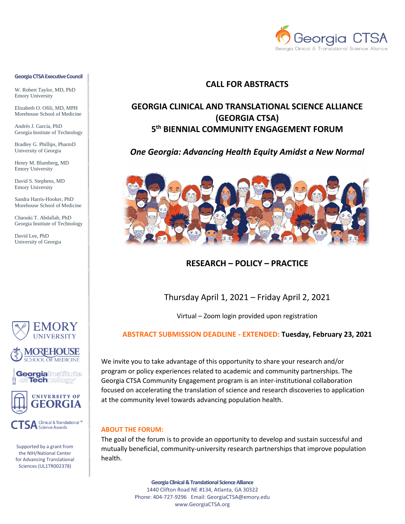

#### **Georgia CTSA Executive Council**

W. Robert Taylor, MD, PhD Emory University

Elizabeth O. Ofili, MD, MPH Morehouse School of Medicine

Andrés J. García, PhD Georgia Institute of Technology

Bradley G. Phillips, PharmD University of Georgia

Henry M. Blumberg, MD Emory University

David S. Stephens, MD Emory University

Sandra Harris-Hooker, PhD Morehouse School of Medicine

Chaouki T. Abdallah, PhD Georgia Institute of Technology

David Lee, PhD University of Georgia









**SA** Clinical & Translational <sup>®</sup><br>Science Awards

Supported by a grant from the NIH/National Center for Advancing Translational Sciences (UL1TR002378)

### **CALL FOR ABSTRACTS**

# **GEORGIA CLINICAL AND TRANSLATIONAL SCIENCE ALLIANCE (GEORGIA CTSA) 5 th BIENNIAL COMMUNITY ENGAGEMENT FORUM**

### *One Georgia: Advancing Health Equity Amidst a New Normal*



### **RESEARCH – POLICY – PRACTICE**

## Thursday April 1, 2021 – Friday April 2, 2021

Virtual – Zoom login provided upon registration

### **ABSTRACT SUBMISSION DEADLINE - EXTENDED: Tuesday, February 23, 2021**

We invite you to take advantage of this opportunity to share your research and/or program or policy experiences related to academic and community partnerships. The Georgia CTSA Community Engagement program is an inter-institutional collaboration focused on accelerating the translation of science and research discoveries to application at the community level towards advancing population health.

#### **ABOUT THE FORUM:**

The goal of the forum is to provide an opportunity to develop and sustain successful and mutually beneficial, community-university research partnerships that improve population health.